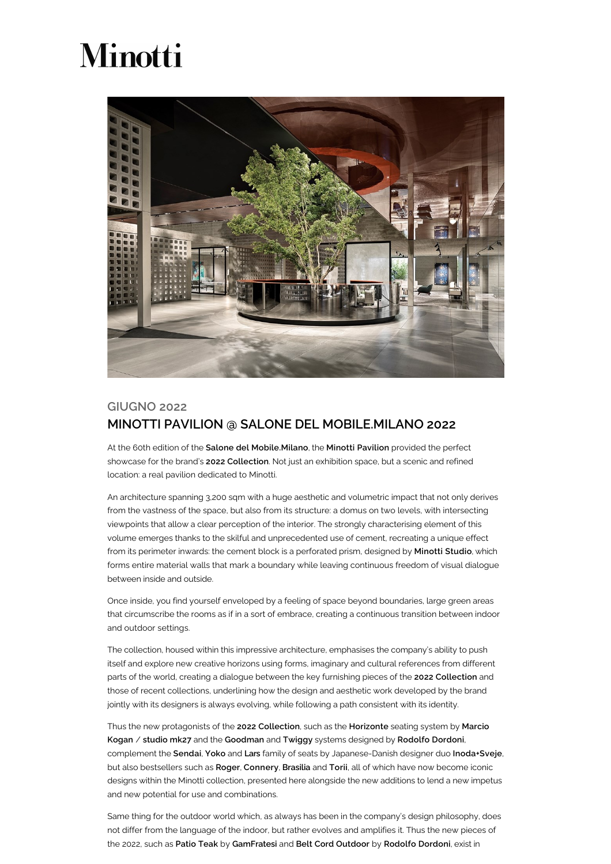## Minotti



## GIUGNO 2022 MINOTTI PAVILION @ SALONE DEL MOBILE.MILANO 2022

At the 60th edition of the Salone del Mobile.Milano, the Minotti Pavilion provided the perfect showcase for the brand's 2022 Collection. Not just an exhibition space, but a scenic and refined location: a real pavilion dedicated to Minotti.

An architecture spanning 3,200 sqm with a huge aesthetic and volumetric impact that not only derives from the vastness of the space, but also from its structure: a domus on two levels, with intersecting viewpoints that allow a clear perception of the interior. The strongly characterising element of this volume emerges thanks to the skilful and unprecedented use of cement, recreating a unique effect from its perimeter inwards: the cement block is a perforated prism, designed by Minotti Studio, which forms entire material walls that mark a boundary while leaving continuous freedom of visual dialogue between inside and outside.

Once inside, you find yourself enveloped by a feeling of space beyond boundaries, large green areas that circumscribe the rooms as if in a sort of embrace, creating a continuous transition between indoor and outdoor settings.

The collection, housed within this impressive architecture, emphasises the company's ability to push itself and explore new creative horizons using forms, imaginary and cultural references from different parts of the world, creating a dialogue between the key furnishing pieces of the 2022 Collection and those of recent collections, underlining how the design and aesthetic work developed by the brand jointly with its designers is always evolving, while following a path consistent with its identity.

Thus the new protagonists of the 2022 Collection, such as the Horizonte seating system by Marcio Kogan / studio mk27 and the Goodman and Twiggy systems designed by Rodolfo Dordoni, complement the Sendai, Yoko and Lars family of seats by Japanese-Danish designer duo Inoda+Sveje, but also bestsellers such as Roger, Connery, Brasilia and Torii, all of which have now become iconic designs within the Minotti collection, presented here alongside the new additions to lend a new impetus and new potential for use and combinations.

Same thing for the outdoor world which, as always has been in the company's design philosophy, does not differ from the language of the indoor, but rather evolves and amplifies it. Thus the new pieces of the 2022, such as Patio Teak by GamFratesi and Belt Cord Outdoor by Rodolfo Dordoni, exist in